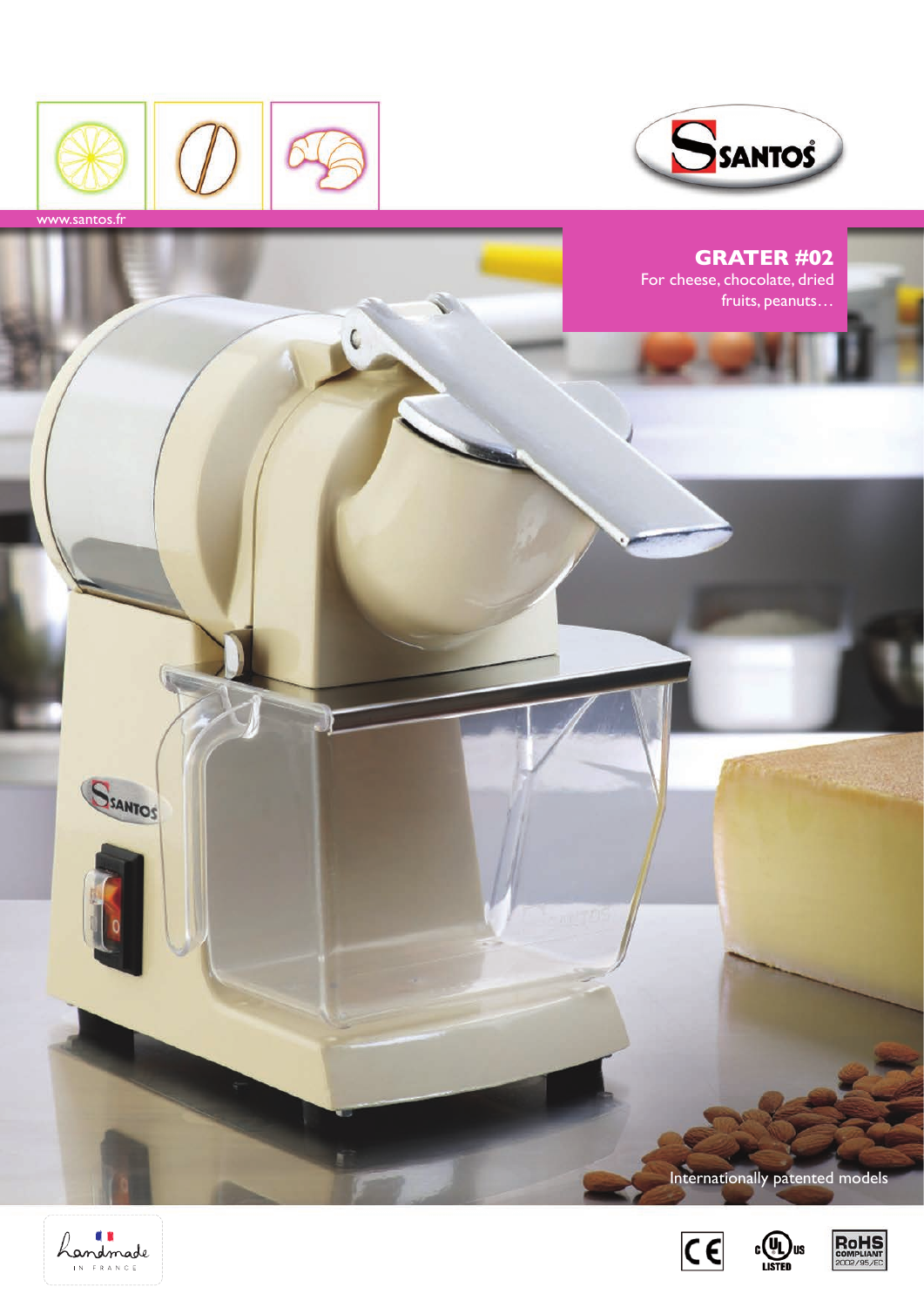



**Grater #02** For cheese, chocolate, dried fruits, peanuts... SSANTOS Internationally patented models





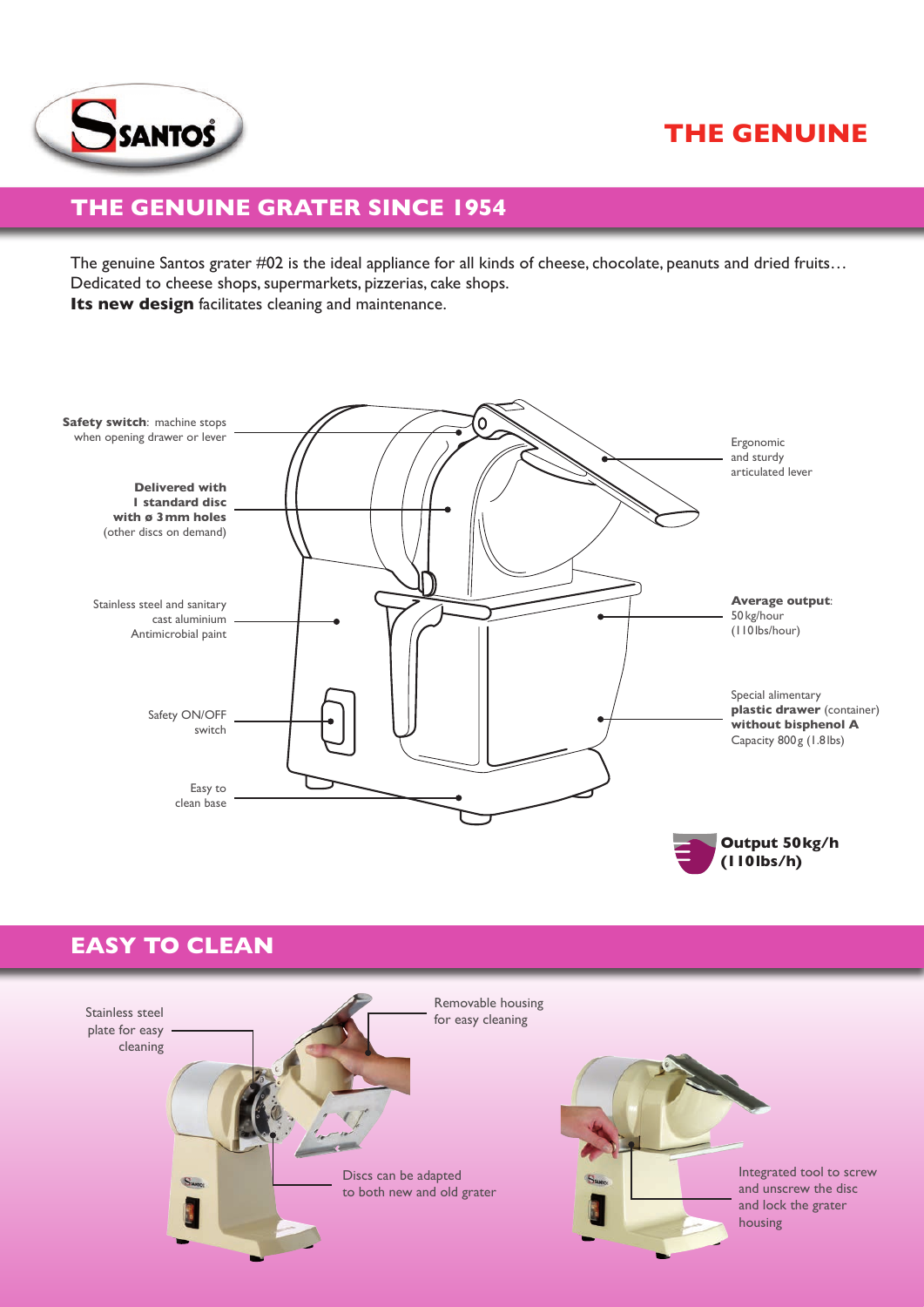# **THE GENUINE**



# **The genuine grater since 1954**

The genuine Santos grater #02 is the ideal appliance for all kinds of cheese, chocolate, peanuts and dried fruits... Dedicated to cheese shops, supermarkets, pizzerias, cake shops. **Its new design** facilitates cleaning and maintenance.



# **Easy to clean**

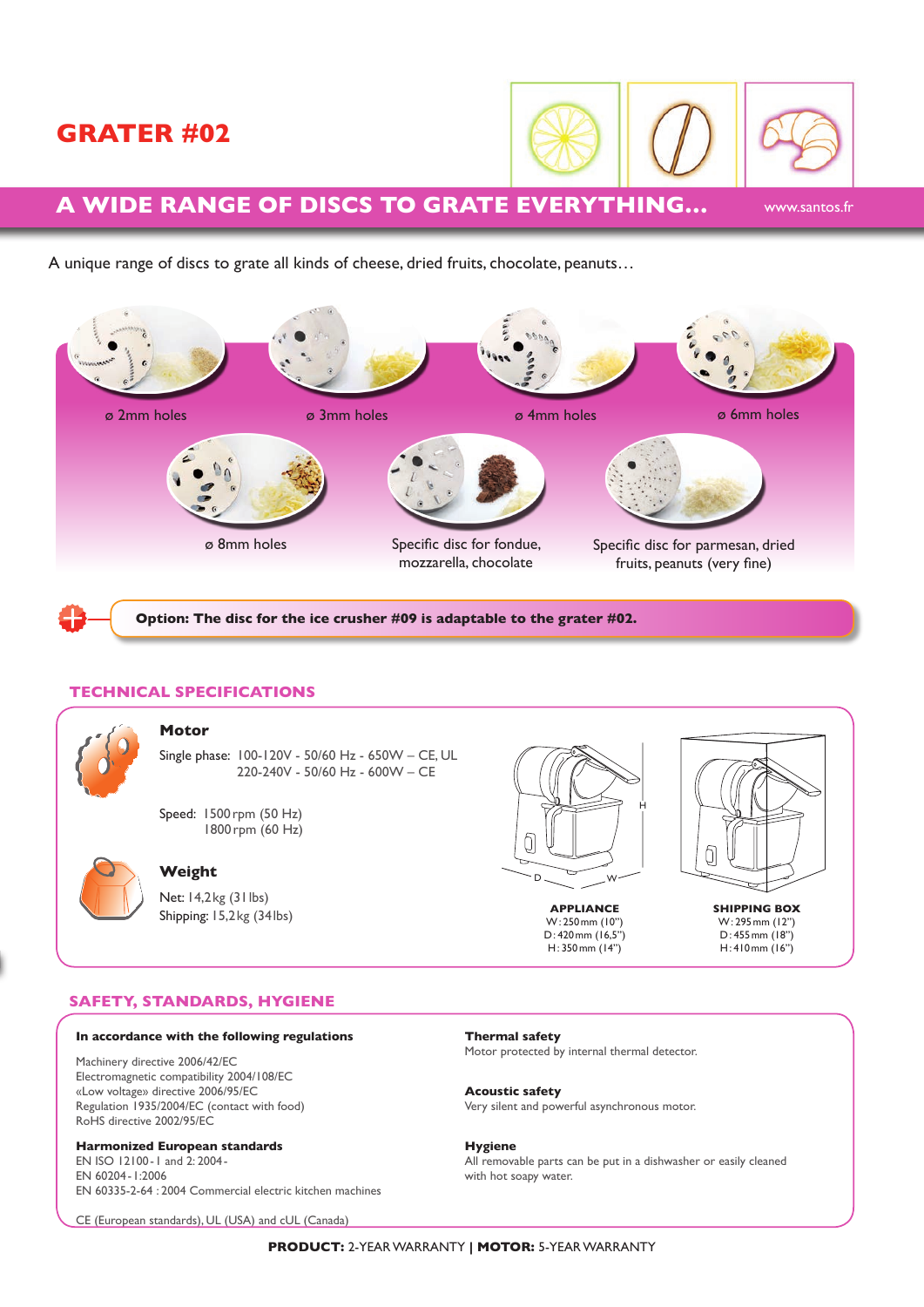## **Grater #02**



www.santos.fr

## **A wide range of discs to grate everything…**

A unique range of discs to grate all kinds of cheese, dried fruits, chocolate, peanuts…



**Option: The disc for the ice crusher #09 is adaptable to the grater #02.** 

### **Technical specifications**



#### **Motor**

Single phase: 100-120V - 50/60 Hz - 650W – CE, UL 220-240V - 50/60 Hz - 600W – CE

Speed: 1500 rpm (50 Hz) 1800rpm (60 Hz)



## **Weight**

Net: 14,2kg (31lbs) Shipping: 15,2kg (34lbs)



**Appliance**  W: 250mm (10'') D: 420mm (16,5'') H: 350mm (14'')



**Shipping box** W: 295mm (12'') D: 455mm (18'') H: 410mm (16'')

## **Safety, Standards, Hygiene**

#### **In accordance with the following regulations**

Machinery directive 2006/42/EC Electromagnetic compatibility 2004/108/EC «Low voltage» directive 2006/95/EC Regulation 1935/2004/EC (contact with food) RoHS directive 2002/95/EC

### **Harmonized European standards**

EN ISO 12100-1 and 2: 2004- EN 60204-1:2006 EN 60335-2-64 : 2004 Commercial electric kitchen machines

CE (European standards), UL (USA) and cUL (Canada)

**Thermal safety** Motor protected by internal thermal detector.

**Acoustic safety** Very silent and powerful asynchronous motor.

**Hygiene** All removable parts can be put in a dishwasher or easily cleaned with hot soapy water.